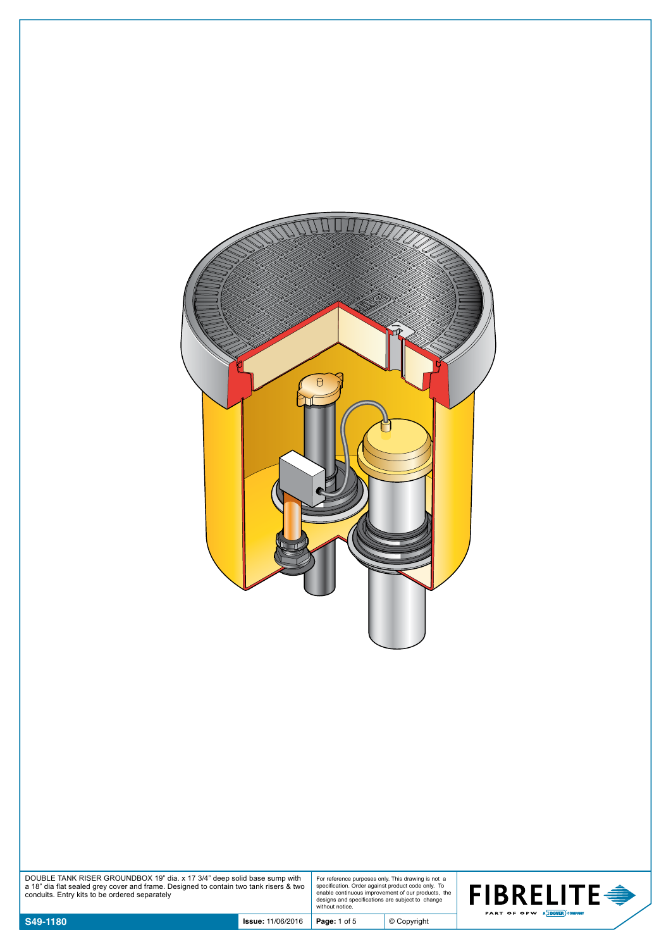

| DOUBLE TANK RISER GROUNDBOX 19" dia. x 17 3/4" deep solid base sump with              |  |
|---------------------------------------------------------------------------------------|--|
| a 18" dia flat sealed grey cover and frame. Designed to contain two tank risers & two |  |
| conduits. Entry kits to be ordered separately                                         |  |

For reference purposes only. This drawing is not a specification. Order against product code only. To enable continuous improvement of our products, the designs and specifications are subject to change without notice.

© Copyright

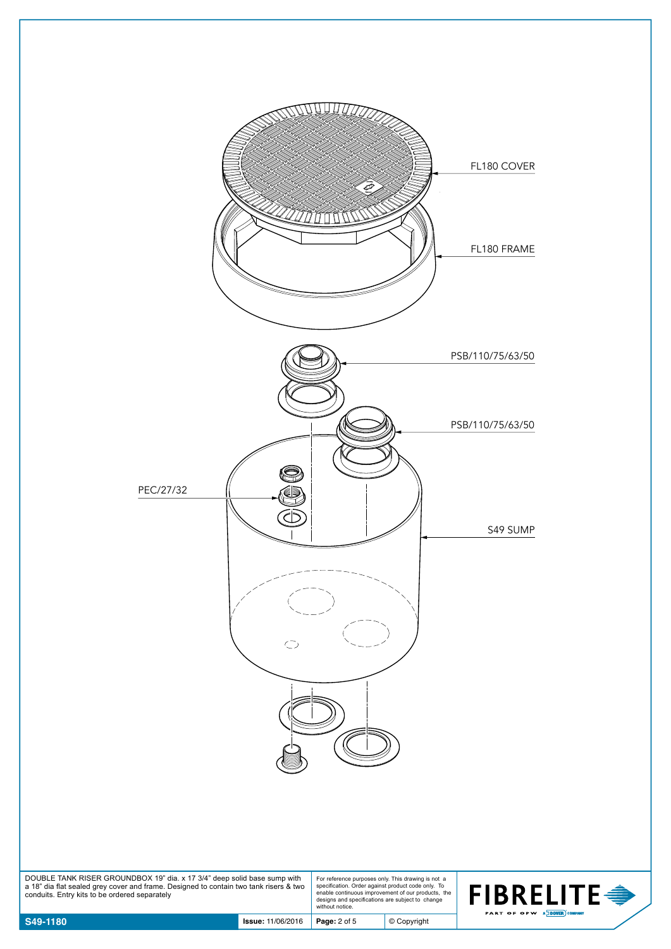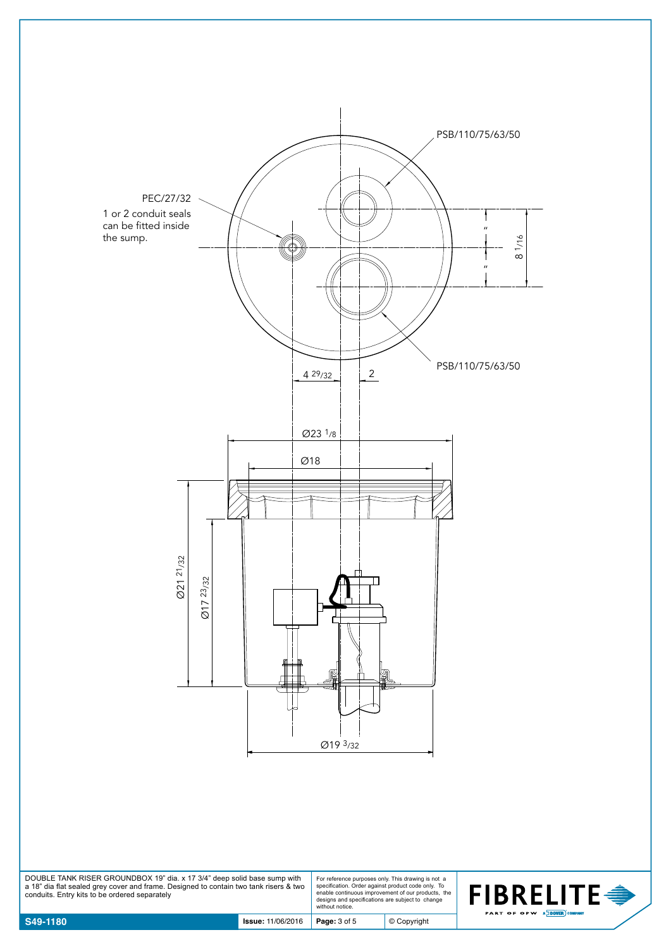

DOUBLE TANK RISER GROUNDBOX 19" dia. x 17 3/4" deep solid base sump with a 18" dia flat sealed grey cover and frame. Designed to contain two tank risers & two conduits. Entry kits to be ordered separately

For reference purposes only. This drawing is not a specification. Order against product code only. To enable continuous improvement of our products, the designs and specifications are subject to change without notice.

© Copyright

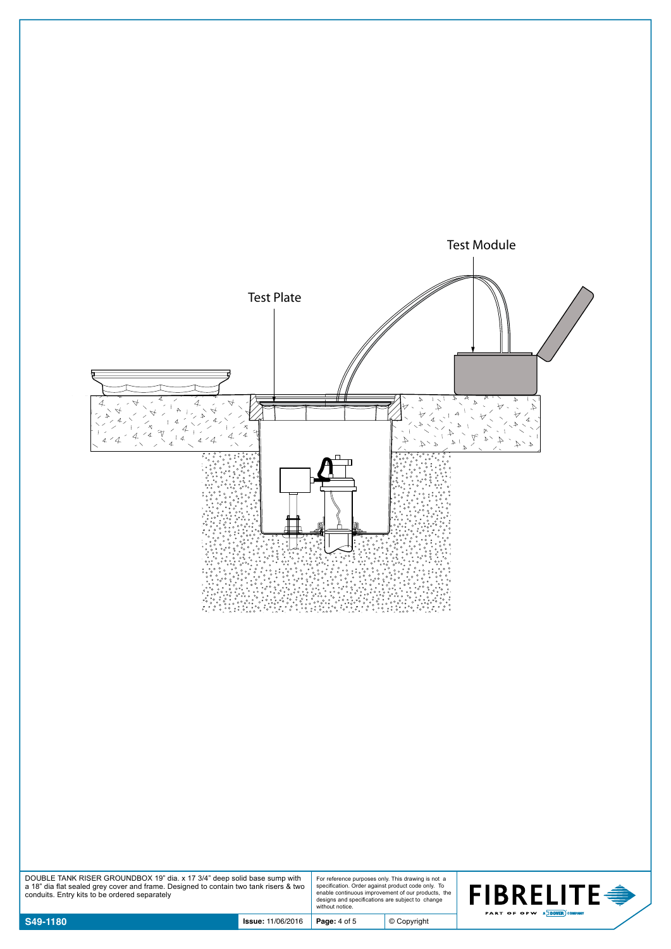